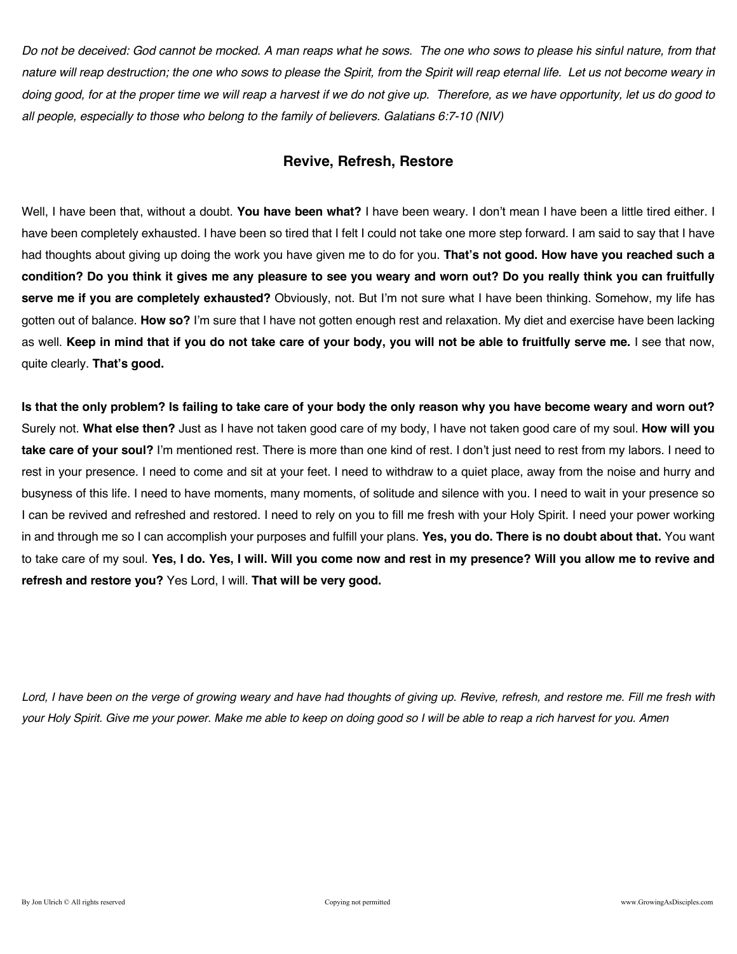*Do not be deceived: God cannot be mocked. A man reaps what he sows. The one who sows to please his sinful nature, from that nature will reap destruction; the one who sows to please the Spirit, from the Spirit will reap eternal life. Let us not become weary in doing good, for at the proper time we will reap a harvest if we do not give up. Therefore, as we have opportunity, let us do good to all people, especially to those who belong to the family of believers. Galatians 6:7-10 (NIV)*

## **Revive, Refresh, Restore**

Well, I have been that, without a doubt. **You have been what?** I have been weary. I don't mean I have been a little tired either. I have been completely exhausted. I have been so tired that I felt I could not take one more step forward. I am said to say that I have had thoughts about giving up doing the work you have given me to do for you. **That's not good. How have you reached such a condition? Do you think it gives me any pleasure to see you weary and worn out? Do you really think you can fruitfully serve me if you are completely exhausted?** Obviously, not. But I'm not sure what I have been thinking. Somehow, my life has gotten out of balance. **How so?** I'm sure that I have not gotten enough rest and relaxation. My diet and exercise have been lacking as well. **Keep in mind that if you do not take care of your body, you will not be able to fruitfully serve me.** I see that now, quite clearly. **That's good.**

**Is that the only problem? Is failing to take care of your body the only reason why you have become weary and worn out?** Surely not. **What else then?** Just as I have not taken good care of my body, I have not taken good care of my soul. **How will you take care of your soul?** I'm mentioned rest. There is more than one kind of rest. I don't just need to rest from my labors. I need to rest in your presence. I need to come and sit at your feet. I need to withdraw to a quiet place, away from the noise and hurry and busyness of this life. I need to have moments, many moments, of solitude and silence with you. I need to wait in your presence so I can be revived and refreshed and restored. I need to rely on you to fill me fresh with your Holy Spirit. I need your power working in and through me so I can accomplish your purposes and fulfill your plans. **Yes, you do. There is no doubt about that.** You want to take care of my soul. **Yes, I do. Yes, I will. Will you come now and rest in my presence? Will you allow me to revive and refresh and restore you?** Yes Lord, I will. **That will be very good.**

Lord, I have been on the verge of growing weary and have had thoughts of giving up. Revive, refresh, and restore me. Fill me fresh with *your Holy Spirit. Give me your power. Make me able to keep on doing good so I will be able to reap a rich harvest for you. Amen*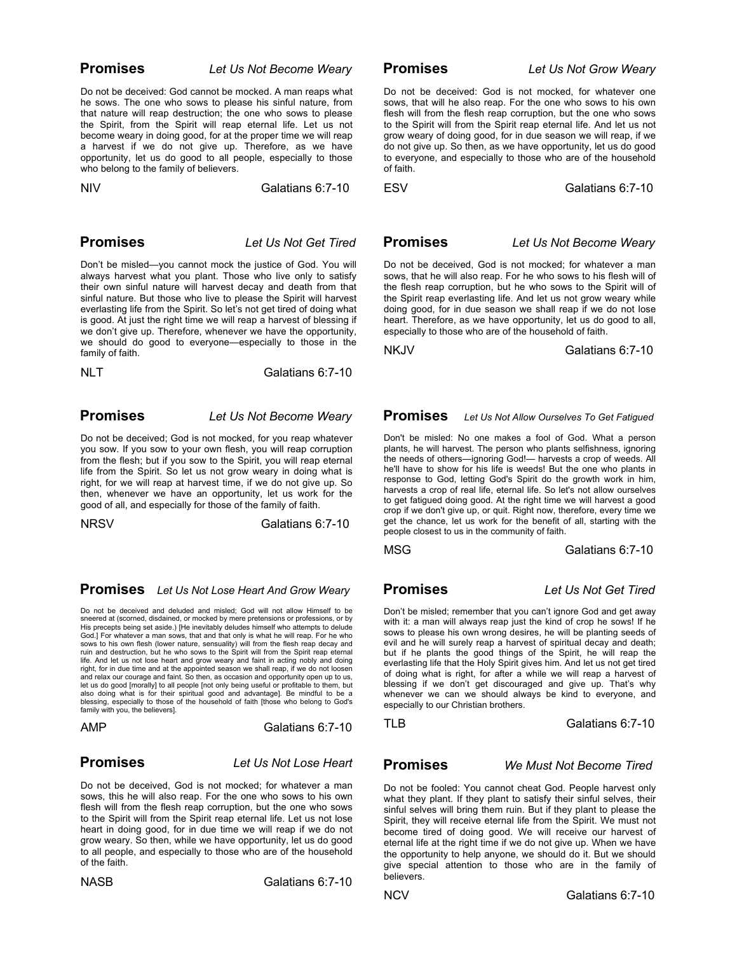## **Promises** *Let Us Not Become Weary*

Do not be deceived: God cannot be mocked. A man reaps what he sows. The one who sows to please his sinful nature, from that nature will reap destruction; the one who sows to please the Spirit, from the Spirit will reap eternal life. Let us not become weary in doing good, for at the proper time we will reap a harvest if we do not give up. Therefore, as we have opportunity, let us do good to all people, especially to those who belong to the family of believers.

NIV Galatians 6:7-10

## **Promises** *Let Us Not Get Tired*

Don't be misled—you cannot mock the justice of God. You will always harvest what you plant. Those who live only to satisfy their own sinful nature will harvest decay and death from that sinful nature. But those who live to please the Spirit will harvest everlasting life from the Spirit. So let's not get tired of doing what is good. At just the right time we will reap a harvest of blessing if we don't give up. Therefore, whenever we have the opportunity, we should do good to everyone—especially to those in the family of faith.

NLT Galatians 6:7-10

## **Promises** *Let Us Not Become Weary*

Do not be deceived; God is not mocked, for you reap whatever you sow. If you sow to your own flesh, you will reap corruption from the flesh; but if you sow to the Spirit, you will reap eternal life from the Spirit. So let us not grow weary in doing what is right, for we will reap at harvest time, if we do not give up. So then, whenever we have an opportunity, let us work for the good of all, and especially for those of the family of faith.

NRSV Galatians 6:7-10

## **Promises** *Let Us Not Lose Heart And Grow Weary*

Do not be deceived and deluded and misled; God will not allow Himself to be sneered at (scorned, disdained, or mocked by mere pretensions or professions, or by His precepts being set aside.) [He inevitably deludes himself who attempts to delude God.] For whatever a man sows, that and that only is what he will reap. For he who sows to his own flesh (lower nature, sensuality) will from the flesh reap decay and ruin and destruction, but he who sows to the Spirit will from the Spirit reap eternal life. And let us not lose heart and grow weary and faint in acting nobly and doing right, for in due time and at the appointed season we shall reap, if we do not loosen and relax our courage and faint. So then, as occasion and opportunity open up to us, let us do good [morally] to all people [not only being useful or profitable to them, but also doing what is for their spiritual good and advantage]. Be mindful to be a blessing, especially to those of the household of faith [those who belong to God's family with you, the believers].

AMP Galatians 6:7-10

## **Promises** *Let Us Not Lose Heart*

Do not be deceived, God is not mocked; for whatever a man sows, this he will also reap. For the one who sows to his own flesh will from the flesh reap corruption, but the one who sows to the Spirit will from the Spirit reap eternal life. Let us not lose heart in doing good, for in due time we will reap if we do not grow weary. So then, while we have opportunity, let us do good to all people, and especially to those who are of the household of the faith.

NASB Galatians 6:7-10

 **Promises** *Let Us Not Grow Weary*

Do not be deceived: God is not mocked, for whatever one sows, that will he also reap. For the one who sows to his own flesh will from the flesh reap corruption, but the one who sows to the Spirit will from the Spirit reap eternal life. And let us not grow weary of doing good, for in due season we will reap, if we do not give up. So then, as we have opportunity, let us do good to everyone, and especially to those who are of the household of faith.

ESV Galatians 6:7-10

 **Promises** *Let Us Not Become Weary*

Do not be deceived, God is not mocked; for whatever a man sows, that he will also reap. For he who sows to his flesh will of the flesh reap corruption, but he who sows to the Spirit will of the Spirit reap everlasting life. And let us not grow weary while doing good, for in due season we shall reap if we do not lose heart. Therefore, as we have opportunity, let us do good to all, especially to those who are of the household of faith.

NKJV Galatians 6:7-10

## **Promises** *Let Us Not Allow Ourselves To Get Fatigued*

Don't be misled: No one makes a fool of God. What a person plants, he will harvest. The person who plants selfishness, ignoring the needs of others—ignoring God!— harvests a crop of weeds. All he'll have to show for his life is weeds! But the one who plants in response to God, letting God's Spirit do the growth work in him, harvests a crop of real life, eternal life. So let's not allow ourselves to get fatigued doing good. At the right time we will harvest a good crop if we don't give up, or quit. Right now, therefore, every time we get the chance, let us work for the benefit of all, starting with the people closest to us in the community of faith.

MSG Galatians 6:7-10

 **Promises** *Let Us Not Get Tired*

Don't be misled; remember that you can't ignore God and get away with it: a man will always reap just the kind of crop he sows! If he sows to please his own wrong desires, he will be planting seeds of evil and he will surely reap a harvest of spiritual decay and death; but if he plants the good things of the Spirit, he will reap the everlasting life that the Holy Spirit gives him. And let us not get tired of doing what is right, for after a while we will reap a harvest of blessing if we don't get discouraged and give up. That's why whenever we can we should always be kind to everyone, and especially to our Christian brothers.

TLB Galatians 6:7-10

 **Promises** *We Must Not Become Tired*

Do not be fooled: You cannot cheat God. People harvest only what they plant. If they plant to satisfy their sinful selves, their sinful selves will bring them ruin. But if they plant to please the Spirit, they will receive eternal life from the Spirit. We must not become tired of doing good. We will receive our harvest of eternal life at the right time if we do not give up. When we have the opportunity to help anyone, we should do it. But we should give special attention to those who are in the family of believers.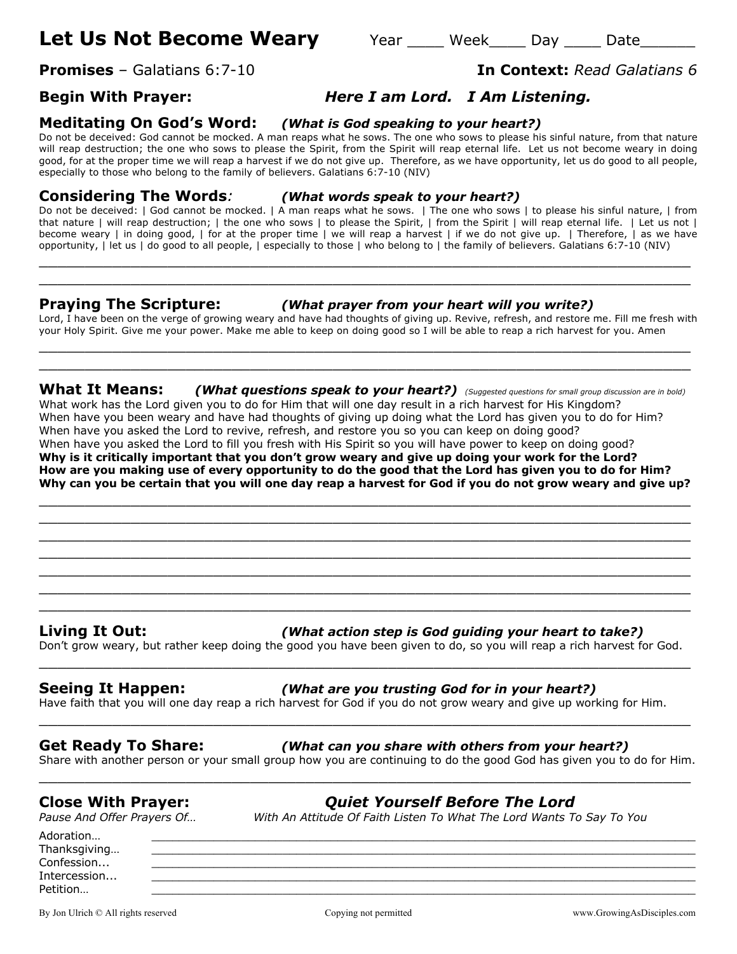# Let Us Not Become Weary Year Meek Langley Day and Date

## **Promises** – Galatians 6:7-10 **In Context:** *Read Galatians 6*

# **Begin With Prayer:** *Here I am Lord. I Am Listening.*

# **Meditating On God's Word:** *(What is God speaking to your heart?)*

Do not be deceived: God cannot be mocked. A man reaps what he sows. The one who sows to please his sinful nature, from that nature will reap destruction; the one who sows to please the Spirit, from the Spirit will reap eternal life. Let us not become weary in doing good, for at the proper time we will reap a harvest if we do not give up. Therefore, as we have opportunity, let us do good to all people, especially to those who belong to the family of believers. Galatians 6:7-10 (NIV)

**Considering The Words***: (What words speak to your heart?)*

Do not be deceived: | God cannot be mocked. | A man reaps what he sows. | The one who sows | to please his sinful nature, | from that nature | will reap destruction; | the one who sows | to please the Spirit, | from the Spirit | will reap eternal life. | Let us not | become weary | in doing good, | for at the proper time | we will reap a harvest | if we do not give up. | Therefore, | as we have opportunity, | let us | do good to all people, | especially to those | who belong to | the family of believers. Galatians 6:7-10 (NIV)

 $\_$  , and the set of the set of the set of the set of the set of the set of the set of the set of the set of the set of the set of the set of the set of the set of the set of the set of the set of the set of the set of th  $\_$  , and the set of the set of the set of the set of the set of the set of the set of the set of the set of the set of the set of the set of the set of the set of the set of the set of the set of the set of the set of th

## **Praying The Scripture:** *(What prayer from your heart will you write?)*

Lord, I have been on the verge of growing weary and have had thoughts of giving up. Revive, refresh, and restore me. Fill me fresh with your Holy Spirit. Give me your power. Make me able to keep on doing good so I will be able to reap a rich harvest for you. Amen  $\_$  , and the set of the set of the set of the set of the set of the set of the set of the set of the set of the set of the set of the set of the set of the set of the set of the set of the set of the set of the set of th

 $\_$  , and the set of the set of the set of the set of the set of the set of the set of the set of the set of the set of the set of the set of the set of the set of the set of the set of the set of the set of the set of th

**What It Means:** *(What questions speak to your heart?) (Suggested questions for small group discussion are in bold)* What work has the Lord given you to do for Him that will one day result in a rich harvest for His Kingdom? When have you been weary and have had thoughts of giving up doing what the Lord has given you to do for Him? When have you asked the Lord to revive, refresh, and restore you so you can keep on doing good? When have you asked the Lord to fill you fresh with His Spirit so you will have power to keep on doing good? **Why is it critically important that you don't grow weary and give up doing your work for the Lord? How are you making use of every opportunity to do the good that the Lord has given you to do for Him? Why can you be certain that you will one day reap a harvest for God if you do not grow weary and give up?**

 $\_$  , and the set of the set of the set of the set of the set of the set of the set of the set of the set of the set of the set of the set of the set of the set of the set of the set of the set of the set of the set of th  $\_$  , and the set of the set of the set of the set of the set of the set of the set of the set of the set of the set of the set of the set of the set of the set of the set of the set of the set of the set of the set of th  $\_$  , and the set of the set of the set of the set of the set of the set of the set of the set of the set of the set of the set of the set of the set of the set of the set of the set of the set of the set of the set of th  $\_$  , and the set of the set of the set of the set of the set of the set of the set of the set of the set of the set of the set of the set of the set of the set of the set of the set of the set of the set of the set of th  $\_$  , and the set of the set of the set of the set of the set of the set of the set of the set of the set of the set of the set of the set of the set of the set of the set of the set of the set of the set of the set of th  $\_$  , and the set of the set of the set of the set of the set of the set of the set of the set of the set of the set of the set of the set of the set of the set of the set of the set of the set of the set of the set of th  $\_$  , and the set of the set of the set of the set of the set of the set of the set of the set of the set of the set of the set of the set of the set of the set of the set of the set of the set of the set of the set of th

## **Living It Out:** *(What action step is God guiding your heart to take?)*

Don't grow weary, but rather keep doing the good you have been given to do, so you will reap a rich harvest for God.  $\_$  , and the set of the set of the set of the set of the set of the set of the set of the set of the set of the set of the set of the set of the set of the set of the set of the set of the set of the set of the set of th

## **Seeing It Happen:** *(What are you trusting God for in your heart?)*

Have faith that you will one day reap a rich harvest for God if you do not grow weary and give up working for Him.

## **Get Ready To Share:** *(What can you share with others from your heart?)*

Share with another person or your small group how you are continuing to do the good God has given you to do for Him.  $\_$  , and the set of the set of the set of the set of the set of the set of the set of the set of the set of the set of the set of the set of the set of the set of the set of the set of the set of the set of the set of th

 $\_$  , and the set of the set of the set of the set of the set of the set of the set of the set of the set of the set of the set of the set of the set of the set of the set of the set of the set of the set of the set of th

## **Close With Prayer:** *Quiet Yourself Before The Lord*

*Pause And Offer Prayers Of… With An Attitude Of Faith Listen To What The Lord Wants To Say To You*

Adoration… \_\_\_\_\_\_\_\_\_\_\_\_\_\_\_\_\_\_\_\_\_\_\_\_\_\_\_\_\_\_\_\_\_\_\_\_\_\_\_\_\_\_\_\_\_\_\_\_\_\_\_\_\_\_\_\_\_\_\_\_\_\_\_\_\_\_\_\_\_\_\_\_\_\_\_\_\_\_\_ Thanksgiving... Confession... \_\_\_\_\_\_\_\_\_\_\_\_\_\_\_\_\_\_\_\_\_\_\_\_\_\_\_\_\_\_\_\_\_\_\_\_\_\_\_\_\_\_\_\_\_\_\_\_\_\_\_\_\_\_\_\_\_\_\_\_\_\_\_\_\_\_\_\_\_\_\_\_\_\_\_\_\_\_\_ Intercession... Petition… \_\_\_\_\_\_\_\_\_\_\_\_\_\_\_\_\_\_\_\_\_\_\_\_\_\_\_\_\_\_\_\_\_\_\_\_\_\_\_\_\_\_\_\_\_\_\_\_\_\_\_\_\_\_\_\_\_\_\_\_\_\_\_\_\_\_\_\_\_\_\_\_\_\_\_\_\_\_\_